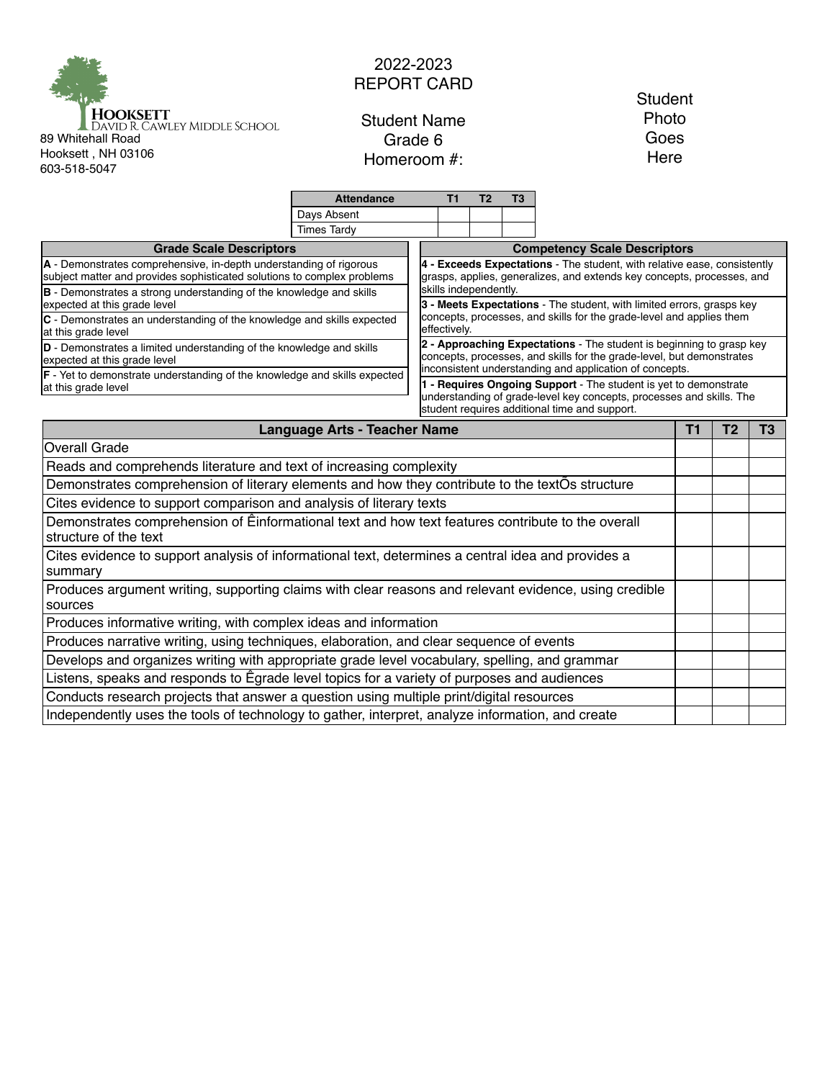

## 2022-2023 REPORT CARD

Student Name Grade 6 Homeroom #:

## **Student** Photo Goes Here

|                                                                                                                                               | <b>Attendance</b>                                                                                                                                  | T1                                                                                                                                                                                        | T <sub>2</sub> | T3 |  |  |                |                |  |  |  |
|-----------------------------------------------------------------------------------------------------------------------------------------------|----------------------------------------------------------------------------------------------------------------------------------------------------|-------------------------------------------------------------------------------------------------------------------------------------------------------------------------------------------|----------------|----|--|--|----------------|----------------|--|--|--|
|                                                                                                                                               | Days Absent                                                                                                                                        |                                                                                                                                                                                           |                |    |  |  |                |                |  |  |  |
|                                                                                                                                               | <b>Times Tardy</b>                                                                                                                                 |                                                                                                                                                                                           |                |    |  |  |                |                |  |  |  |
| <b>Grade Scale Descriptors</b>                                                                                                                | <b>Competency Scale Descriptors</b>                                                                                                                |                                                                                                                                                                                           |                |    |  |  |                |                |  |  |  |
| A - Demonstrates comprehensive, in-depth understanding of rigorous<br>subject matter and provides sophisticated solutions to complex problems | 4 - Exceeds Expectations - The student, with relative ease, consistently<br>grasps, applies, generalizes, and extends key concepts, processes, and |                                                                                                                                                                                           |                |    |  |  |                |                |  |  |  |
| <b>B</b> - Demonstrates a strong understanding of the knowledge and skills<br>expected at this grade level                                    | skills independently.<br>3 - Meets Expectations - The student, with limited errors, grasps key                                                     |                                                                                                                                                                                           |                |    |  |  |                |                |  |  |  |
| C - Demonstrates an understanding of the knowledge and skills expected<br>at this grade level                                                 | concepts, processes, and skills for the grade-level and applies them<br>effectively.                                                               |                                                                                                                                                                                           |                |    |  |  |                |                |  |  |  |
| D - Demonstrates a limited understanding of the knowledge and skills<br>expected at this grade level                                          | 2 - Approaching Expectations - The student is beginning to grasp key<br>concepts, processes, and skills for the grade-level, but demonstrates      |                                                                                                                                                                                           |                |    |  |  |                |                |  |  |  |
| F - Yet to demonstrate understanding of the knowledge and skills expected                                                                     |                                                                                                                                                    | inconsistent understanding and application of concepts.                                                                                                                                   |                |    |  |  |                |                |  |  |  |
| at this grade level                                                                                                                           |                                                                                                                                                    | 1 - Requires Ongoing Support - The student is yet to demonstrate<br>understanding of grade-level key concepts, processes and skills. The<br>student requires additional time and support. |                |    |  |  |                |                |  |  |  |
| <b>Language Arts - Teacher Name</b>                                                                                                           |                                                                                                                                                    |                                                                                                                                                                                           |                |    |  |  | T <sub>2</sub> | T <sub>3</sub> |  |  |  |
| <b>Overall Grade</b>                                                                                                                          |                                                                                                                                                    |                                                                                                                                                                                           |                |    |  |  |                |                |  |  |  |
| Reads and comprehends literature and text of increasing complexity                                                                            |                                                                                                                                                    |                                                                                                                                                                                           |                |    |  |  |                |                |  |  |  |
| Demonstrates comprehension of literary elements and how they contribute to the textOs structure                                               |                                                                                                                                                    |                                                                                                                                                                                           |                |    |  |  |                |                |  |  |  |
| Cites evidence to support comparison and analysis of literary texts                                                                           |                                                                                                                                                    |                                                                                                                                                                                           |                |    |  |  |                |                |  |  |  |
| Demonstrates comprehension of Einformational text and how text features contribute to the overall<br>structure of the text                    |                                                                                                                                                    |                                                                                                                                                                                           |                |    |  |  |                |                |  |  |  |
| Cites evidence to support analysis of informational text, determines a central idea and provides a<br>summary                                 |                                                                                                                                                    |                                                                                                                                                                                           |                |    |  |  |                |                |  |  |  |
| Produces argument writing, supporting claims with clear reasons and relevant evidence, using credible<br>sources                              |                                                                                                                                                    |                                                                                                                                                                                           |                |    |  |  |                |                |  |  |  |
| Produces informative writing, with complex ideas and information                                                                              |                                                                                                                                                    |                                                                                                                                                                                           |                |    |  |  |                |                |  |  |  |
| Produces narrative writing, using techniques, elaboration, and clear sequence of events                                                       |                                                                                                                                                    |                                                                                                                                                                                           |                |    |  |  |                |                |  |  |  |
| Develops and organizes writing with appropriate grade level vocabulary, spelling, and grammar                                                 |                                                                                                                                                    |                                                                                                                                                                                           |                |    |  |  |                |                |  |  |  |
| Listens, speaks and responds to Egrade level topics for a variety of purposes and audiences                                                   |                                                                                                                                                    |                                                                                                                                                                                           |                |    |  |  |                |                |  |  |  |
| Conducts research projects that answer a question using multiple print/digital resources                                                      |                                                                                                                                                    |                                                                                                                                                                                           |                |    |  |  |                |                |  |  |  |
| Independently uses the tools of technology to gather, interpret, analyze information, and create                                              |                                                                                                                                                    |                                                                                                                                                                                           |                |    |  |  |                |                |  |  |  |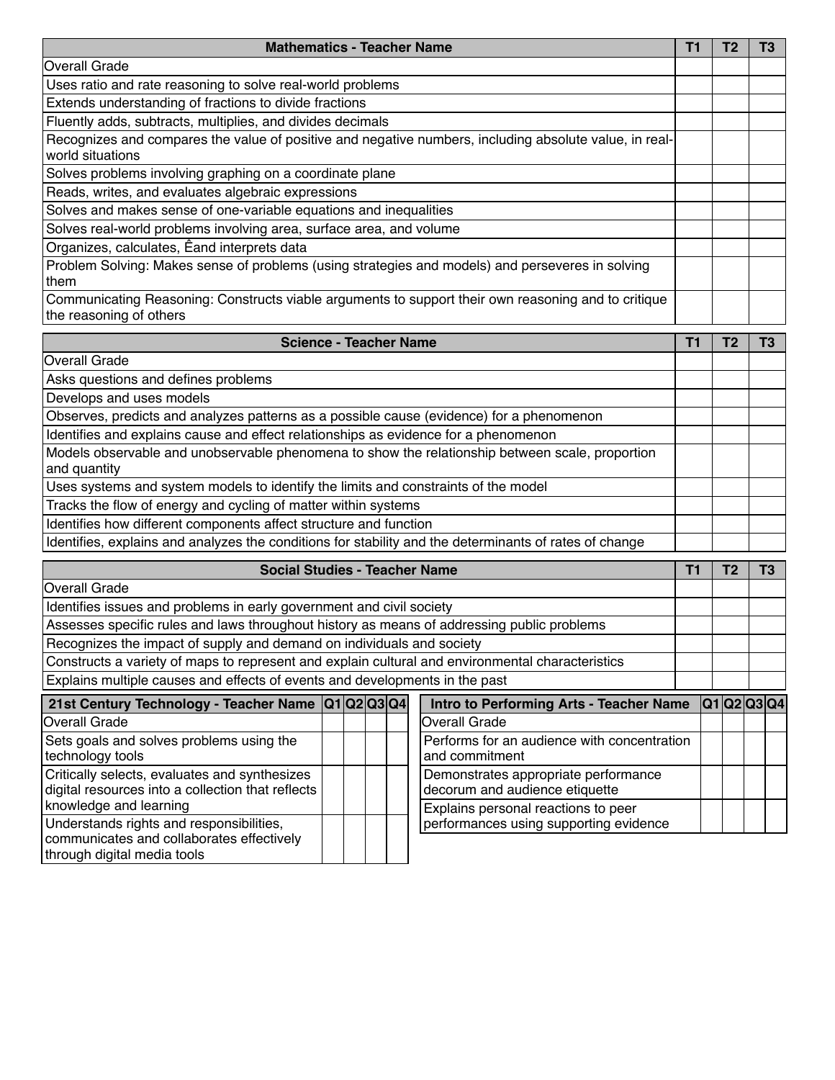| <b>Mathematics - Teacher Name</b>                                                                                              |  |  |  |  |  |
|--------------------------------------------------------------------------------------------------------------------------------|--|--|--|--|--|
| <b>Overall Grade</b>                                                                                                           |  |  |  |  |  |
| Uses ratio and rate reasoning to solve real-world problems                                                                     |  |  |  |  |  |
| Extends understanding of fractions to divide fractions                                                                         |  |  |  |  |  |
| Fluently adds, subtracts, multiplies, and divides decimals                                                                     |  |  |  |  |  |
| Recognizes and compares the value of positive and negative numbers, including absolute value, in real-<br>world situations     |  |  |  |  |  |
| Solves problems involving graphing on a coordinate plane                                                                       |  |  |  |  |  |
| Reads, writes, and evaluates algebraic expressions                                                                             |  |  |  |  |  |
| Solves and makes sense of one-variable equations and inequalities                                                              |  |  |  |  |  |
| Solves real-world problems involving area, surface area, and volume                                                            |  |  |  |  |  |
| Organizes, calculates, Eand interprets data                                                                                    |  |  |  |  |  |
| Problem Solving: Makes sense of problems (using strategies and models) and perseveres in solving<br>them                       |  |  |  |  |  |
| Communicating Reasoning: Constructs viable arguments to support their own reasoning and to critique<br>the reasoning of others |  |  |  |  |  |

| <b>Science - Teacher Name</b>                                                                                   |  |  |  |  |  |
|-----------------------------------------------------------------------------------------------------------------|--|--|--|--|--|
| <b>Overall Grade</b>                                                                                            |  |  |  |  |  |
| Asks questions and defines problems                                                                             |  |  |  |  |  |
| Develops and uses models                                                                                        |  |  |  |  |  |
| Observes, predicts and analyzes patterns as a possible cause (evidence) for a phenomenon                        |  |  |  |  |  |
| Identifies and explains cause and effect relationships as evidence for a phenomenon                             |  |  |  |  |  |
| Models observable and unobservable phenomena to show the relationship between scale, proportion<br>and quantity |  |  |  |  |  |
| Uses systems and system models to identify the limits and constraints of the model                              |  |  |  |  |  |
| Tracks the flow of energy and cycling of matter within systems                                                  |  |  |  |  |  |
| Identifies how different components affect structure and function                                               |  |  |  |  |  |
| Identifies, explains and analyzes the conditions for stability and the determinants of rates of change          |  |  |  |  |  |

| <b>Social Studies - Teacher Name</b>                                                                                 |  |  |  |                                                                        |  |  | Т3              |
|----------------------------------------------------------------------------------------------------------------------|--|--|--|------------------------------------------------------------------------|--|--|-----------------|
| <b>Overall Grade</b>                                                                                                 |  |  |  |                                                                        |  |  |                 |
| Identifies issues and problems in early government and civil society                                                 |  |  |  |                                                                        |  |  |                 |
| Assesses specific rules and laws throughout history as means of addressing public problems                           |  |  |  |                                                                        |  |  |                 |
| Recognizes the impact of supply and demand on individuals and society                                                |  |  |  |                                                                        |  |  |                 |
| Constructs a variety of maps to represent and explain cultural and environmental characteristics                     |  |  |  |                                                                        |  |  |                 |
| Explains multiple causes and effects of events and developments in the past                                          |  |  |  |                                                                        |  |  |                 |
| 21st Century Technology - Teacher Name  Q1 Q2 Q3 Q4 <br>Intro to Performing Arts - Teacher Name                      |  |  |  |                                                                        |  |  | <b>Q1Q2Q3Q4</b> |
| Overall Grade                                                                                                        |  |  |  | <b>Overall Grade</b>                                                   |  |  |                 |
| Sets goals and solves problems using the<br>technology tools                                                         |  |  |  | Performs for an audience with concentration<br>and commitment          |  |  |                 |
| Critically selects, evaluates and synthesizes<br>digital resources into a collection that reflects                   |  |  |  | Demonstrates appropriate performance<br>decorum and audience etiquette |  |  |                 |
| knowledge and learning                                                                                               |  |  |  | Explains personal reactions to peer                                    |  |  |                 |
| Understands rights and responsibilities,<br>communicates and collaborates effectively<br>through digital media tools |  |  |  | performances using supporting evidence                                 |  |  |                 |